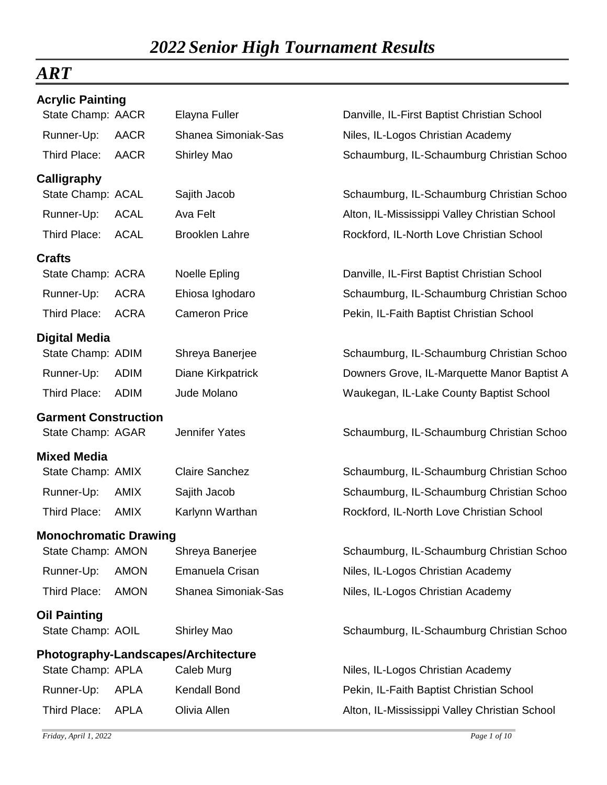## *ART*

| <b>Acrylic Painting</b>             |             |                       |                                               |
|-------------------------------------|-------------|-----------------------|-----------------------------------------------|
| State Champ: AACR                   |             | Elayna Fuller         | Danville, IL-First Baptist Christian School   |
| Runner-Up:                          | <b>AACR</b> | Shanea Simoniak-Sas   | Niles, IL-Logos Christian Academy             |
| Third Place:                        | <b>AACR</b> | <b>Shirley Mao</b>    | Schaumburg, IL-Schaumburg Christian Schoo     |
| Calligraphy                         |             |                       |                                               |
| State Champ: ACAL                   |             | Sajith Jacob          | Schaumburg, IL-Schaumburg Christian Schoo     |
| Runner-Up:                          | <b>ACAL</b> | Ava Felt              | Alton, IL-Mississippi Valley Christian School |
| Third Place:                        | <b>ACAL</b> | <b>Brooklen Lahre</b> | Rockford, IL-North Love Christian School      |
| <b>Crafts</b>                       |             |                       |                                               |
| State Champ: ACRA                   |             | Noelle Epling         | Danville, IL-First Baptist Christian School   |
| Runner-Up:                          | <b>ACRA</b> | Ehiosa Ighodaro       | Schaumburg, IL-Schaumburg Christian Schoo     |
| Third Place:                        | <b>ACRA</b> | <b>Cameron Price</b>  | Pekin, IL-Faith Baptist Christian School      |
| <b>Digital Media</b>                |             |                       |                                               |
| State Champ: ADIM                   |             | Shreya Banerjee       | Schaumburg, IL-Schaumburg Christian Schoo     |
| Runner-Up:                          | <b>ADIM</b> | Diane Kirkpatrick     | Downers Grove, IL-Marquette Manor Baptist A   |
| Third Place:                        | <b>ADIM</b> | Jude Molano           | Waukegan, IL-Lake County Baptist School       |
| <b>Garment Construction</b>         |             |                       |                                               |
| State Champ: AGAR                   |             | <b>Jennifer Yates</b> | Schaumburg, IL-Schaumburg Christian Schoo     |
| <b>Mixed Media</b>                  |             |                       |                                               |
| State Champ: AMIX                   |             | <b>Claire Sanchez</b> | Schaumburg, IL-Schaumburg Christian Schoo     |
| Runner-Up:                          | <b>AMIX</b> | Sajith Jacob          | Schaumburg, IL-Schaumburg Christian Schoo     |
| Third Place:                        | <b>AMIX</b> | Karlynn Warthan       | Rockford, IL-North Love Christian School      |
| <b>Monochromatic Drawing</b>        |             |                       |                                               |
| State Champ: AMON                   |             | Shreya Banerjee       | Schaumburg, IL-Schaumburg Christian Schoo     |
| Runner-Up:                          | <b>AMON</b> | Emanuela Crisan       | Niles, IL-Logos Christian Academy             |
| Third Place:                        | <b>AMON</b> | Shanea Simoniak-Sas   | Niles, IL-Logos Christian Academy             |
| <b>Oil Painting</b>                 |             |                       |                                               |
| State Champ: AOIL                   |             | <b>Shirley Mao</b>    | Schaumburg, IL-Schaumburg Christian Schoo     |
| Photography-Landscapes/Architecture |             |                       |                                               |
| State Champ: APLA                   |             | Caleb Murg            | Niles, IL-Logos Christian Academy             |
| Runner-Up:                          | <b>APLA</b> | Kendall Bond          | Pekin, IL-Faith Baptist Christian School      |
| Third Place:                        | <b>APLA</b> | Olivia Allen          | Alton, IL-Mississippi Valley Christian School |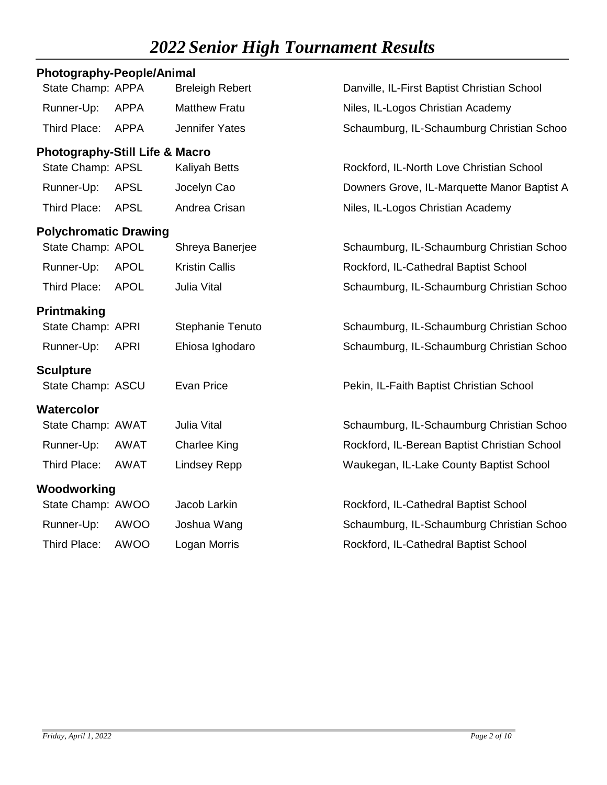| <b>Photography-People/Animal</b>          |             |                        |                                              |
|-------------------------------------------|-------------|------------------------|----------------------------------------------|
| State Champ: APPA                         |             | <b>Breleigh Rebert</b> | Danville, IL-First Baptist Christian School  |
| Runner-Up:                                | <b>APPA</b> | <b>Matthew Fratu</b>   | Niles, IL-Logos Christian Academy            |
| Third Place:                              | <b>APPA</b> | <b>Jennifer Yates</b>  | Schaumburg, IL-Schaumburg Christian Schoo    |
| <b>Photography-Still Life &amp; Macro</b> |             |                        |                                              |
| State Champ: APSL                         |             | <b>Kaliyah Betts</b>   | Rockford, IL-North Love Christian School     |
| Runner-Up:                                | <b>APSL</b> | Jocelyn Cao            | Downers Grove, IL-Marquette Manor Baptist A  |
| Third Place:                              | <b>APSL</b> | Andrea Crisan          | Niles, IL-Logos Christian Academy            |
| <b>Polychromatic Drawing</b>              |             |                        |                                              |
| State Champ: APOL                         |             | Shreya Banerjee        | Schaumburg, IL-Schaumburg Christian Schoo    |
| Runner-Up:                                | <b>APOL</b> | <b>Kristin Callis</b>  | Rockford, IL-Cathedral Baptist School        |
| Third Place:                              | <b>APOL</b> | <b>Julia Vital</b>     | Schaumburg, IL-Schaumburg Christian Schoo    |
| Printmaking                               |             |                        |                                              |
| State Champ: APRI                         |             | Stephanie Tenuto       | Schaumburg, IL-Schaumburg Christian Schoo    |
| Runner-Up:                                | <b>APRI</b> | Ehiosa Ighodaro        | Schaumburg, IL-Schaumburg Christian Schoo    |
| <b>Sculpture</b>                          |             |                        |                                              |
| State Champ: ASCU                         |             | <b>Evan Price</b>      | Pekin, IL-Faith Baptist Christian School     |
| Watercolor                                |             |                        |                                              |
| State Champ: AWAT                         |             | Julia Vital            | Schaumburg, IL-Schaumburg Christian Schoo    |
| Runner-Up:                                | AWAT        | <b>Charlee King</b>    | Rockford, IL-Berean Baptist Christian School |
| Third Place:                              | AWAT        | <b>Lindsey Repp</b>    | Waukegan, IL-Lake County Baptist School      |
| Woodworking                               |             |                        |                                              |
| State Champ: AWOO                         |             | Jacob Larkin           | Rockford, IL-Cathedral Baptist School        |
| Runner-Up:                                | AWOO        | Joshua Wang            | Schaumburg, IL-Schaumburg Christian Schoo    |
| Third Place:                              | <b>AWOO</b> | Logan Morris           | Rockford, IL-Cathedral Baptist School        |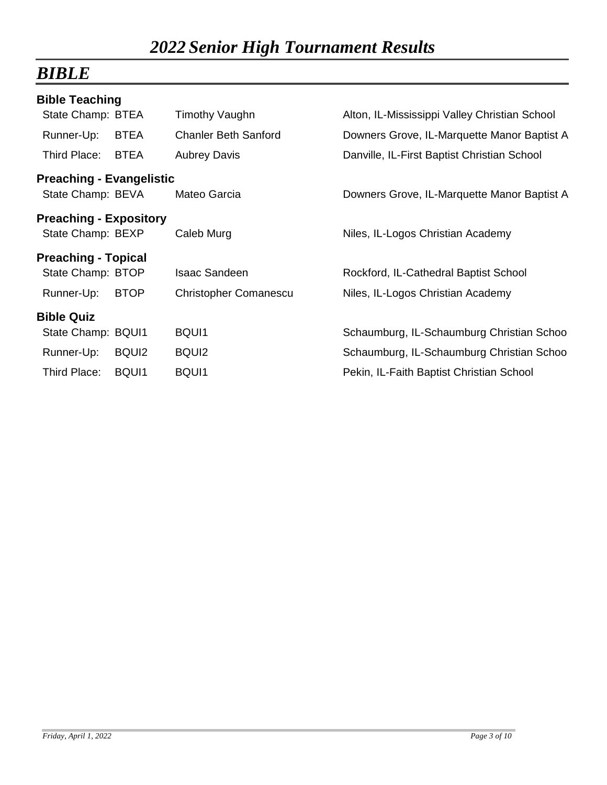## *BIBLE*

| <b>Bible Teaching</b>           |                   |                              |                                               |
|---------------------------------|-------------------|------------------------------|-----------------------------------------------|
| State Champ: BTEA               |                   | Timothy Vaughn               | Alton, IL-Mississippi Valley Christian School |
| Runner-Up:                      | <b>BTEA</b>       | <b>Chanler Beth Sanford</b>  | Downers Grove, IL-Marquette Manor Baptist A   |
| Third Place:                    | <b>BTEA</b>       | <b>Aubrey Davis</b>          | Danville, IL-First Baptist Christian School   |
| <b>Preaching - Evangelistic</b> |                   |                              |                                               |
| State Champ: BEVA               |                   | Mateo Garcia                 | Downers Grove, IL-Marquette Manor Baptist A   |
| <b>Preaching - Expository</b>   |                   |                              |                                               |
| State Champ: BEXP               |                   | Caleb Murg                   | Niles, IL-Logos Christian Academy             |
| <b>Preaching - Topical</b>      |                   |                              |                                               |
| State Champ: BTOP               |                   | <b>Isaac Sandeen</b>         | Rockford, IL-Cathedral Baptist School         |
| Runner-Up:                      | <b>BTOP</b>       | <b>Christopher Comanescu</b> | Niles, IL-Logos Christian Academy             |
| <b>Bible Quiz</b>               |                   |                              |                                               |
| State Champ: BQUI1              |                   | BQUI1                        | Schaumburg, IL-Schaumburg Christian Schoo     |
| Runner-Up:                      | BQUI <sub>2</sub> | BQUI <sub>2</sub>            | Schaumburg, IL-Schaumburg Christian Schoo     |
| Third Place:                    | BQUI1             | BQUI1                        | Pekin, IL-Faith Baptist Christian School      |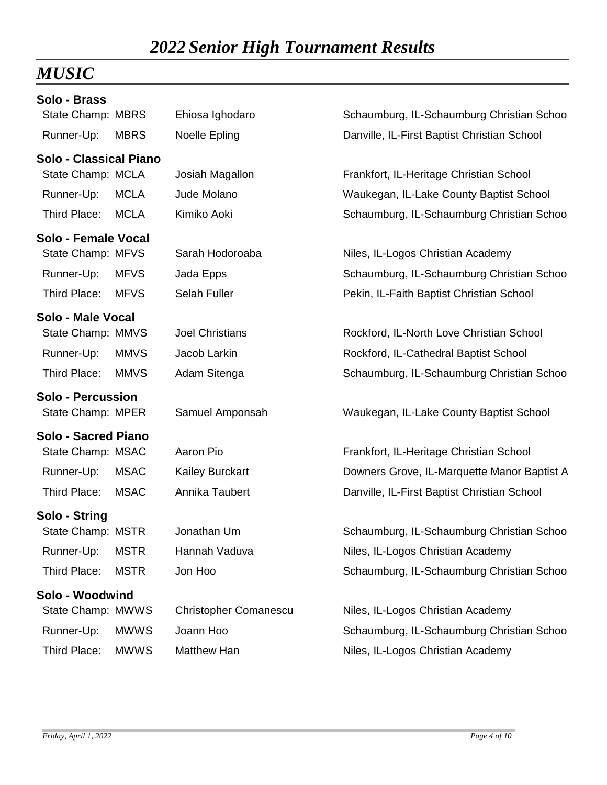## *MUSIC*

| Solo - Brass                  |             |                              |                                             |
|-------------------------------|-------------|------------------------------|---------------------------------------------|
| State Champ: MBRS             |             | Ehiosa Ighodaro              | Schaumburg, IL-Schaumburg Christian Schoo   |
| Runner-Up:                    | <b>MBRS</b> | Noelle Epling                | Danville, IL-First Baptist Christian School |
| <b>Solo - Classical Piano</b> |             |                              |                                             |
| State Champ: MCLA             |             | Josiah Magallon              | Frankfort, IL-Heritage Christian School     |
| Runner-Up:                    | <b>MCLA</b> | Jude Molano                  | Waukegan, IL-Lake County Baptist School     |
| Third Place:                  | <b>MCLA</b> | Kimiko Aoki                  | Schaumburg, IL-Schaumburg Christian Schoo   |
| Solo - Female Vocal           |             |                              |                                             |
| State Champ: MFVS             |             | Sarah Hodoroaba              | Niles, IL-Logos Christian Academy           |
| Runner-Up:                    | <b>MFVS</b> | Jada Epps                    | Schaumburg, IL-Schaumburg Christian Schoo   |
| Third Place:                  | <b>MFVS</b> | <b>Selah Fuller</b>          | Pekin, IL-Faith Baptist Christian School    |
| Solo - Male Vocal             |             |                              |                                             |
| State Champ: MMVS             |             | <b>Joel Christians</b>       | Rockford, IL-North Love Christian School    |
| Runner-Up:                    | <b>MMVS</b> | Jacob Larkin                 | Rockford, IL-Cathedral Baptist School       |
| Third Place:                  | <b>MMVS</b> | Adam Sitenga                 | Schaumburg, IL-Schaumburg Christian Schoo   |
| <b>Solo - Percussion</b>      |             |                              |                                             |
| State Champ: MPER             |             | Samuel Amponsah              | Waukegan, IL-Lake County Baptist School     |
| <b>Solo - Sacred Piano</b>    |             |                              |                                             |
| State Champ: MSAC             |             | Aaron Pio                    | Frankfort, IL-Heritage Christian School     |
| Runner-Up:                    | <b>MSAC</b> | Kailey Burckart              | Downers Grove, IL-Marquette Manor Baptist A |
| Third Place:                  | <b>MSAC</b> | Annika Taubert               | Danville, IL-First Baptist Christian School |
| Solo - String                 |             |                              |                                             |
| State Champ: MSTR             |             | Jonathan Um                  | Schaumburg, IL-Schaumburg Christian Schoo   |
| Runner-Up:                    | <b>MSTR</b> | Hannah Vaduva                | Niles, IL-Logos Christian Academy           |
| Third Place:                  | <b>MSTR</b> | Jon Hoo                      | Schaumburg, IL-Schaumburg Christian Schoo   |
| Solo - Woodwind               |             |                              |                                             |
| State Champ: MWWS             |             | <b>Christopher Comanescu</b> | Niles, IL-Logos Christian Academy           |
| Runner-Up:                    | <b>MWWS</b> | Joann Hoo                    | Schaumburg, IL-Schaumburg Christian Schoo   |
| Third Place:                  | <b>MWWS</b> | Matthew Han                  | Niles, IL-Logos Christian Academy           |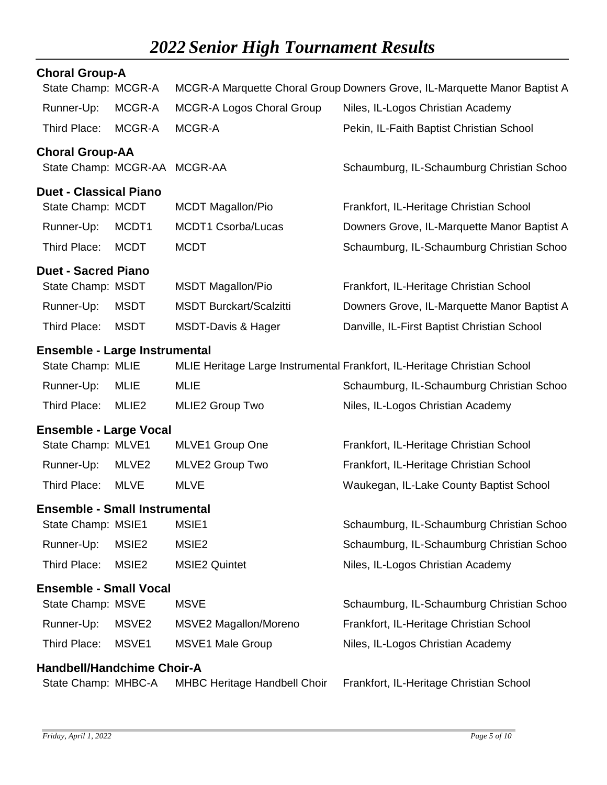| <b>Choral Group-A</b>                |                   |                                     |                                                                           |
|--------------------------------------|-------------------|-------------------------------------|---------------------------------------------------------------------------|
| State Champ: MCGR-A                  |                   |                                     | MCGR-A Marquette Choral Group Downers Grove, IL-Marquette Manor Baptist A |
| Runner-Up:                           | MCGR-A            | <b>MCGR-A Logos Choral Group</b>    | Niles, IL-Logos Christian Academy                                         |
| Third Place:                         | MCGR-A            | MCGR-A                              | Pekin, IL-Faith Baptist Christian School                                  |
| <b>Choral Group-AA</b>               |                   |                                     |                                                                           |
| State Champ: MCGR-AA MCGR-AA         |                   |                                     | Schaumburg, IL-Schaumburg Christian Schoo                                 |
| <b>Duet - Classical Piano</b>        |                   |                                     |                                                                           |
| State Champ: MCDT                    |                   | <b>MCDT Magallon/Pio</b>            | Frankfort, IL-Heritage Christian School                                   |
| Runner-Up:                           | MCDT1             | <b>MCDT1 Csorba/Lucas</b>           | Downers Grove, IL-Marquette Manor Baptist A                               |
| Third Place:                         | <b>MCDT</b>       | <b>MCDT</b>                         | Schaumburg, IL-Schaumburg Christian Schoo                                 |
| <b>Duet - Sacred Piano</b>           |                   |                                     |                                                                           |
| State Champ: MSDT                    |                   | <b>MSDT Magallon/Pio</b>            | Frankfort, IL-Heritage Christian School                                   |
| Runner-Up:                           | <b>MSDT</b>       | <b>MSDT Burckart/Scalzitti</b>      | Downers Grove, IL-Marquette Manor Baptist A                               |
| Third Place:                         | <b>MSDT</b>       | <b>MSDT-Davis &amp; Hager</b>       | Danville, IL-First Baptist Christian School                               |
| <b>Ensemble - Large Instrumental</b> |                   |                                     |                                                                           |
| State Champ: MLIE                    |                   |                                     | MLIE Heritage Large Instrumental Frankfort, IL-Heritage Christian School  |
| Runner-Up:                           | <b>MLIE</b>       | <b>MLIE</b>                         | Schaumburg, IL-Schaumburg Christian Schoo                                 |
| Third Place:                         | MLIE <sub>2</sub> | MLIE2 Group Two                     | Niles, IL-Logos Christian Academy                                         |
| <b>Ensemble - Large Vocal</b>        |                   |                                     |                                                                           |
| State Champ: MLVE1                   |                   | <b>MLVE1 Group One</b>              | Frankfort, IL-Heritage Christian School                                   |
| Runner-Up:                           | MLVE <sub>2</sub> | MLVE2 Group Two                     | Frankfort, IL-Heritage Christian School                                   |
| Third Place:                         | <b>MLVE</b>       | <b>MLVE</b>                         | Waukegan, IL-Lake County Baptist School                                   |
| <b>Ensemble - Small Instrumental</b> |                   |                                     |                                                                           |
| State Champ: MSIE1                   |                   | MSIE1                               | Schaumburg, IL-Schaumburg Christian Schoo                                 |
| Runner-Up:                           | MSIE <sub>2</sub> | MSIE <sub>2</sub>                   | Schaumburg, IL-Schaumburg Christian Schoo                                 |
| Third Place:                         | MSIE <sub>2</sub> | <b>MSIE2 Quintet</b>                | Niles, IL-Logos Christian Academy                                         |
| <b>Ensemble - Small Vocal</b>        |                   |                                     |                                                                           |
| State Champ: MSVE                    |                   | <b>MSVE</b>                         | Schaumburg, IL-Schaumburg Christian Schoo                                 |
| Runner-Up:                           | MSVE <sub>2</sub> | MSVE2 Magallon/Moreno               | Frankfort, IL-Heritage Christian School                                   |
| Third Place:                         | MSVE1             | <b>MSVE1 Male Group</b>             | Niles, IL-Logos Christian Academy                                         |
| <b>Handbell/Handchime Choir-A</b>    |                   |                                     |                                                                           |
| State Champ: MHBC-A                  |                   | <b>MHBC Heritage Handbell Choir</b> | Frankfort, IL-Heritage Christian School                                   |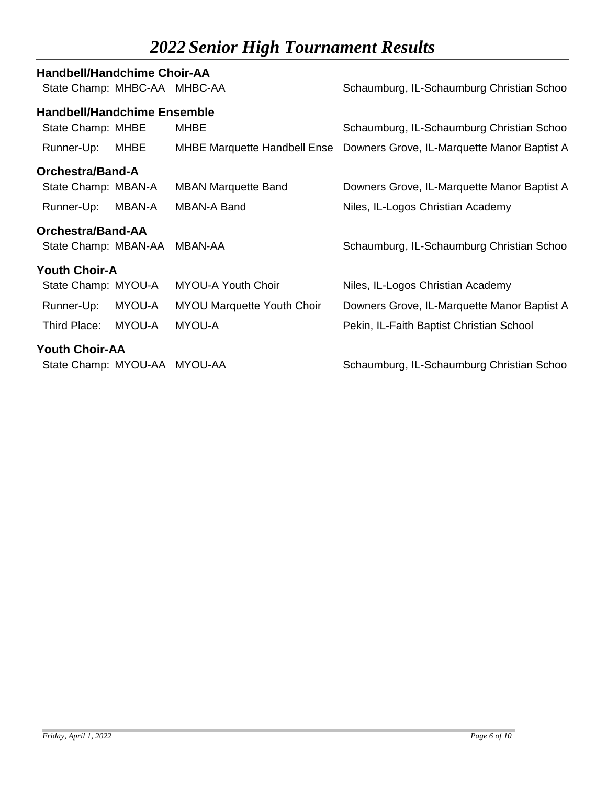| <b>Handbell/Handchime Choir-AA</b> |        |                                     |                                             |
|------------------------------------|--------|-------------------------------------|---------------------------------------------|
| State Champ: MHBC-AA MHBC-AA       |        |                                     | Schaumburg, IL-Schaumburg Christian Schoo   |
| <b>Handbell/Handchime Ensemble</b> |        |                                     |                                             |
| State Champ: MHBE                  |        | <b>MHBE</b>                         | Schaumburg, IL-Schaumburg Christian Schoo   |
| Runner-Up:                         | MHBE   | <b>MHBE Marquette Handbell Ense</b> | Downers Grove, IL-Marquette Manor Baptist A |
| Orchestra/Band-A                   |        |                                     |                                             |
| State Champ: MBAN-A                |        | <b>MBAN Marquette Band</b>          | Downers Grove, IL-Marquette Manor Baptist A |
| Runner-Up:                         | MBAN-A | <b>MBAN-A Band</b>                  | Niles, IL-Logos Christian Academy           |
| <b>Orchestra/Band-AA</b>           |        |                                     |                                             |
| State Champ: MBAN-AA               |        | MBAN-AA                             | Schaumburg, IL-Schaumburg Christian Schoo   |
| <b>Youth Choir-A</b>               |        |                                     |                                             |
| State Champ: MYOU-A                |        | <b>MYOU-A Youth Choir</b>           | Niles, IL-Logos Christian Academy           |
| Runner-Up:                         | MYOU-A | <b>MYOU Marquette Youth Choir</b>   | Downers Grove, IL-Marquette Manor Baptist A |
| Third Place:                       | MYOU-A | MYOU-A                              | Pekin, IL-Faith Baptist Christian School    |
| <b>Youth Choir-AA</b>              |        |                                     |                                             |
| State Champ: MYOU-AA MYOU-AA       |        |                                     | Schaumburg, IL-Schaumburg Christian Schoo   |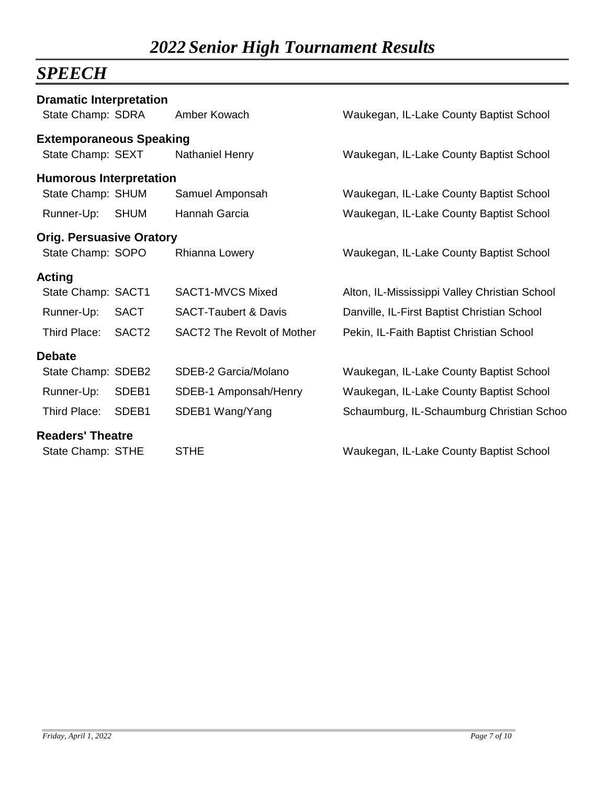## *SPEECH*

| <b>Dramatic Interpretation</b>  |                   |                                   |                                               |
|---------------------------------|-------------------|-----------------------------------|-----------------------------------------------|
| State Champ: SDRA               |                   | Amber Kowach                      | Waukegan, IL-Lake County Baptist School       |
| <b>Extemporaneous Speaking</b>  |                   |                                   |                                               |
| State Champ: SEXT               |                   | Nathaniel Henry                   | Waukegan, IL-Lake County Baptist School       |
| <b>Humorous Interpretation</b>  |                   |                                   |                                               |
| State Champ: SHUM               |                   | Samuel Amponsah                   | Waukegan, IL-Lake County Baptist School       |
| Runner-Up:                      | <b>SHUM</b>       | Hannah Garcia                     | Waukegan, IL-Lake County Baptist School       |
| <b>Orig. Persuasive Oratory</b> |                   |                                   |                                               |
| State Champ: SOPO               |                   | Rhianna Lowery                    | Waukegan, IL-Lake County Baptist School       |
| <b>Acting</b>                   |                   |                                   |                                               |
| State Champ: SACT1              |                   | SACT1-MVCS Mixed                  | Alton, IL-Mississippi Valley Christian School |
| Runner-Up:                      | <b>SACT</b>       | <b>SACT-Taubert &amp; Davis</b>   | Danville, IL-First Baptist Christian School   |
| Third Place:                    | SACT <sub>2</sub> | <b>SACT2 The Revolt of Mother</b> | Pekin, IL-Faith Baptist Christian School      |
| <b>Debate</b>                   |                   |                                   |                                               |
| State Champ: SDEB2              |                   | SDEB-2 Garcia/Molano              | Waukegan, IL-Lake County Baptist School       |
| Runner-Up:                      | SDEB1             | SDEB-1 Amponsah/Henry             | Waukegan, IL-Lake County Baptist School       |
| Third Place:                    | SDEB1             | SDEB1 Wang/Yang                   | Schaumburg, IL-Schaumburg Christian Schoo     |
| <b>Readers' Theatre</b>         |                   |                                   |                                               |
| State Champ: STHE               |                   | <b>STHE</b>                       | Waukegan, IL-Lake County Baptist School       |
|                                 |                   |                                   |                                               |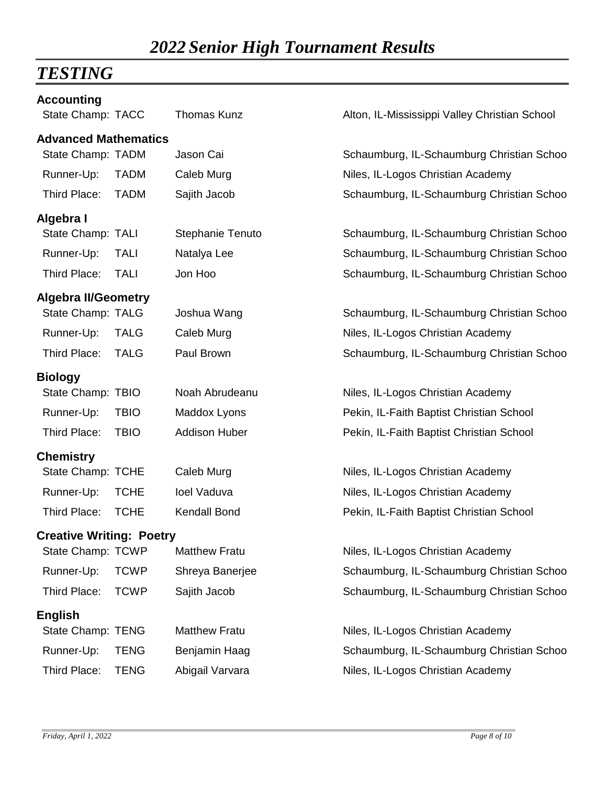## *TESTING*

| <b>Accounting</b><br>State Champ: TACC | <b>Thomas Kunz</b>   | Alton, IL-Mississippi Valley Christian School |
|----------------------------------------|----------------------|-----------------------------------------------|
| <b>Advanced Mathematics</b>            |                      |                                               |
| State Champ: TADM                      | Jason Cai            | Schaumburg, IL-Schaumburg Christian Schoo     |
| Runner-Up:<br><b>TADM</b>              | Caleb Murg           | Niles, IL-Logos Christian Academy             |
| Third Place:<br><b>TADM</b>            | Sajith Jacob         | Schaumburg, IL-Schaumburg Christian Schoo     |
| Algebra I                              |                      |                                               |
| State Champ: TALI                      | Stephanie Tenuto     | Schaumburg, IL-Schaumburg Christian Schoo     |
| Runner-Up:<br><b>TALI</b>              | Natalya Lee          | Schaumburg, IL-Schaumburg Christian Schoo     |
| Third Place:<br><b>TALI</b>            | Jon Hoo              | Schaumburg, IL-Schaumburg Christian Schoo     |
| <b>Algebra II/Geometry</b>             |                      |                                               |
| State Champ: TALG                      | Joshua Wang          | Schaumburg, IL-Schaumburg Christian Schoo     |
| Runner-Up:<br><b>TALG</b>              | Caleb Murg           | Niles, IL-Logos Christian Academy             |
| Third Place:<br><b>TALG</b>            | Paul Brown           | Schaumburg, IL-Schaumburg Christian Schoo     |
| <b>Biology</b>                         |                      |                                               |
| State Champ: TBIO                      | Noah Abrudeanu       | Niles, IL-Logos Christian Academy             |
| Runner-Up:<br><b>TBIO</b>              | Maddox Lyons         | Pekin, IL-Faith Baptist Christian School      |
| Third Place:<br><b>TBIO</b>            | <b>Addison Huber</b> | Pekin, IL-Faith Baptist Christian School      |
| <b>Chemistry</b>                       |                      |                                               |
| State Champ: TCHE                      | Caleb Murg           | Niles, IL-Logos Christian Academy             |
| Runner-Up:<br><b>TCHE</b>              | loel Vaduva          | Niles, IL-Logos Christian Academy             |
| Third Place:<br><b>TCHE</b>            | <b>Kendall Bond</b>  | Pekin, IL-Faith Baptist Christian School      |
| <b>Creative Writing: Poetry</b>        |                      |                                               |
| State Champ: TCWP                      | <b>Matthew Fratu</b> | Niles, IL-Logos Christian Academy             |
| Runner-Up:<br><b>TCWP</b>              | Shreya Banerjee      | Schaumburg, IL-Schaumburg Christian Schoo     |
| Third Place:<br><b>TCWP</b>            | Sajith Jacob         | Schaumburg, IL-Schaumburg Christian Schoo     |
| <b>English</b>                         |                      |                                               |
| State Champ: TENG                      | <b>Matthew Fratu</b> | Niles, IL-Logos Christian Academy             |
| Runner-Up:<br><b>TENG</b>              | Benjamin Haag        | Schaumburg, IL-Schaumburg Christian Schoo     |
| Third Place:<br><b>TENG</b>            | Abigail Varvara      | Niles, IL-Logos Christian Academy             |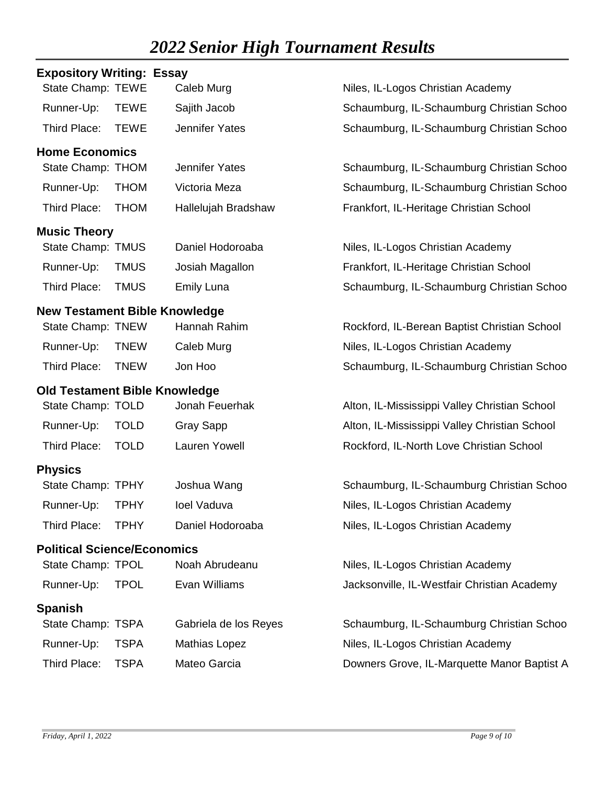| <b>Expository Writing: Essay</b>     |             |                       |                                               |
|--------------------------------------|-------------|-----------------------|-----------------------------------------------|
| State Champ: TEWE                    |             | Caleb Murg            | Niles, IL-Logos Christian Academy             |
| Runner-Up:                           | <b>TEWE</b> | Sajith Jacob          | Schaumburg, IL-Schaumburg Christian Schoo     |
| Third Place:                         | <b>TEWE</b> | <b>Jennifer Yates</b> | Schaumburg, IL-Schaumburg Christian Schoo     |
| <b>Home Economics</b>                |             |                       |                                               |
| State Champ: THOM                    |             | <b>Jennifer Yates</b> | Schaumburg, IL-Schaumburg Christian Schoo     |
| Runner-Up:                           | <b>THOM</b> | Victoria Meza         | Schaumburg, IL-Schaumburg Christian Schoo     |
| Third Place:                         | <b>THOM</b> | Hallelujah Bradshaw   | Frankfort, IL-Heritage Christian School       |
| <b>Music Theory</b>                  |             |                       |                                               |
| State Champ: TMUS                    |             | Daniel Hodoroaba      | Niles, IL-Logos Christian Academy             |
| Runner-Up:                           | <b>TMUS</b> | Josiah Magallon       | Frankfort, IL-Heritage Christian School       |
| Third Place:                         | <b>TMUS</b> | <b>Emily Luna</b>     | Schaumburg, IL-Schaumburg Christian Schoo     |
| <b>New Testament Bible Knowledge</b> |             |                       |                                               |
| State Champ: TNEW                    |             | Hannah Rahim          | Rockford, IL-Berean Baptist Christian School  |
| Runner-Up:                           | <b>TNEW</b> | Caleb Murg            | Niles, IL-Logos Christian Academy             |
| Third Place:                         | <b>TNEW</b> | Jon Hoo               | Schaumburg, IL-Schaumburg Christian Schoo     |
| <b>Old Testament Bible Knowledge</b> |             |                       |                                               |
| State Champ: TOLD                    |             | Jonah Feuerhak        | Alton, IL-Mississippi Valley Christian School |
| Runner-Up:                           | <b>TOLD</b> | <b>Gray Sapp</b>      | Alton, IL-Mississippi Valley Christian School |
| Third Place:                         | <b>TOLD</b> | Lauren Yowell         | Rockford, IL-North Love Christian School      |
| <b>Physics</b>                       |             |                       |                                               |
| State Champ: TPHY                    |             | Joshua Wang           | Schaumburg, IL-Schaumburg Christian Schoo     |
| Runner-Up:                           | <b>TPHY</b> | loel Vaduva           | Niles, IL-Logos Christian Academy             |
| Third Place:                         | <b>TPHY</b> | Daniel Hodoroaba      | Niles, IL-Logos Christian Academy             |
| <b>Political Science/Economics</b>   |             |                       |                                               |
| State Champ: TPOL                    |             | Noah Abrudeanu        | Niles, IL-Logos Christian Academy             |
| Runner-Up:                           | <b>TPOL</b> | Evan Williams         | Jacksonville, IL-Westfair Christian Academy   |
| <b>Spanish</b>                       |             |                       |                                               |
| State Champ: TSPA                    |             | Gabriela de los Reyes | Schaumburg, IL-Schaumburg Christian Schoo     |
| Runner-Up:                           | <b>TSPA</b> | <b>Mathias Lopez</b>  | Niles, IL-Logos Christian Academy             |
| Third Place:                         | <b>TSPA</b> | Mateo Garcia          | Downers Grove, IL-Marquette Manor Baptist A   |